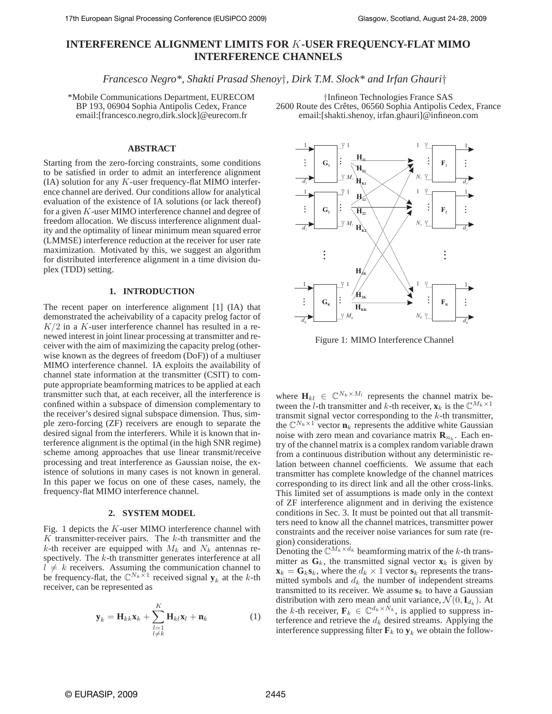# **INTERFERENCE ALIGNMENT LIMITS FOR** K**-USER FREQUENCY-FLAT MIMO INTERFERENCE CHANNELS**

*Francesco Negro\*, Shakti Prasad Shenoy*†*, Dirk T.M. Slock\* and Irfan Ghauri*†

\*Mobile Communications Department, EURECOM BP 193, 06904 Sophia Antipolis Cedex, France email:[francesco.negro,dirk.slock]@eurecom.fr

†Infineon Technologies France SAS 2600 Route des Crêtes, 06560 Sophia Antipolis Cedex, France email:[shakti.shenoy, irfan.ghauri]@infineon.com

## **ABSTRACT**

Starting from the zero-forcing constraints, some conditions to be satisfied in order to admit an interference alignment (IA) solution for any  $K$ -user frequency-flat MIMO interference channel are derived. Our conditions allow for analytical evaluation of the existence of IA solutions (or lack thereof) for a given K-user MIMO interference channel and degree of freedom allocation. We discuss interference alignment duality and the optimality of linear minimum mean squared error (LMMSE) interference reduction at the receiver for user rate maximization. Motivated by this, we suggest an algorithm for distributed interference alignment in a time division duplex (TDD) setting.

### **1. INTRODUCTION**

The recent paper on interference alignment [1] (IA) that demonstrated the acheivability of a capacity prelog factor of  $K/2$  in a K-user interference channel has resulted in a renewed interest in joint linear processing at transmitter and receiver with the aim of maximizing the capacity prelog (otherwise known as the degrees of freedom (DoF)) of a multiuser MIMO interference channel. IA exploits the availability of channel state information at the transmitter (CSIT) to compute appropriate beamforming matrices to be applied at each transmitter such that, at each receiver, all the interference is confined within a subspace of dimension complementary to the receiver's desired signal subspace dimension. Thus, simple zero-forcing (ZF) receivers are enough to separate the desired signal from the interferers. While it is known that interference alignment is the optimal (in the high SNR regime) scheme among approaches that use linear transmit/receive processing and treat interference as Gaussian noise, the existence of solutions in many cases is not known in general. In this paper we focus on one of these cases, namely, the frequency-flat MIMO interference channel.

## **2. SYSTEM MODEL**

Fig. 1 depicts the K-user MIMO interference channel with  $K$  transmitter-receiver pairs. The  $k$ -th transmitter and the k-th receiver are equipped with  $M_k$  and  $N_k$  antennas respectively. The k-th transmitter generates interference at all  $l \neq k$  receivers. Assuming the communication channel to be frequency-flat, the  $\mathbb{C}^{N_k \times 1}$  received signal  $\mathbf{y}_k$  at the k-th receiver, can be represented as

$$
\mathbf{y}_k = \mathbf{H}_{kk}\mathbf{x}_k + \sum_{\substack{l=1\\l \neq k}}^K \mathbf{H}_{kl}\mathbf{x}_l + \mathbf{n}_k
$$
 (1)



Figure 1: MIMO Interference Channel

where  $\mathbf{H}_{kl} \in \mathbb{C}^{N_k \times M_l}$  represents the channel matrix between the *l*-th transmitter and *k*-th receiver,  $\mathbf{x}_k$  is the  $\mathbb{C}^{M_k \times 1}$ transmit signal vector corresponding to the  $k$ -th transmitter, the  $\mathbb{C}^{N_k \times 1}$  vector  $\mathbf{n}_k$  represents the additive white Gaussian noise with zero mean and covariance matrix  $\mathbf{R}_{n_k}$ . Each entry of the channel matrix is a complex random variable drawn from a continuous distribution without any deterministic relation between channel coefficients. We assume that each transmitter has complete knowledge of the channel matrices corresponding to its direct link and all the other cross-links. This limited set of assumptions is made only in the context of ZF interference alignment and in deriving the existence conditions in Sec. 3. It must be pointed out that all transmitters need to know all the channel matrices, transmitter power constraints and the receiver noise variances for sum rate (region) considerations.

Denoting the  $\mathbb{C}^{M_k \times d_k}$  beamforming matrix of the k-th transmitter as  $G_k$ , the transmitted signal vector  $\mathbf{x}_k$  is given by  $\mathbf{x}_k = \mathbf{G}_k \mathbf{s}_k$ , where the  $d_k \times 1$  vector  $\mathbf{s}_k$  represents the transmitted symbols and  $d_k$  the number of independent streams transmitted to its receiver. We assume  $s_k$  to have a Gaussian distribution with zero mean and unit variance,  $\mathcal{N}(0, \mathbf{I}_{d_k})$ . At the k-th receiver,  $\mathbf{F}_k \in \mathbb{C}^{d_k \times N_k}$ , is applied to suppress interference and retrieve the  $d_k$  desired streams. Applying the interference suppressing filter  $\mathbf{F}_k$  to  $\mathbf{y}_k$  we obtain the follow-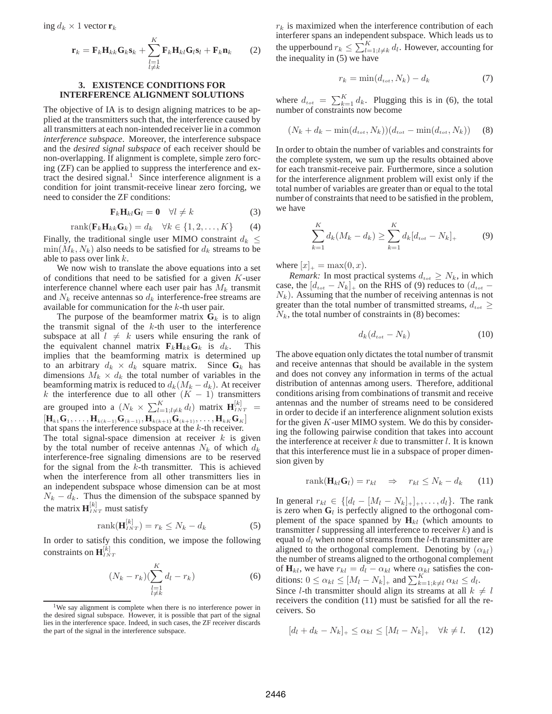$$
\mathbf{r}_k = \mathbf{F}_k \mathbf{H}_{kk} \mathbf{G}_k \mathbf{s}_k + \sum_{\substack{l=1 \ l \neq k}}^K \mathbf{F}_k \mathbf{H}_{kl} \mathbf{G}_l \mathbf{s}_l + \mathbf{F}_k \mathbf{n}_k \qquad (2)
$$

## **3. EXISTENCE CONDITIONS FOR INTERFERENCE ALIGNMENT SOLUTIONS**

The objective of IA is to design aligning matrices to be applied at the transmitters such that, the interference caused by all transmitters at each non-intended receiver lie in a common *interference subspace*. Moreover, the interference subspace and the *desired signal subspace* of each receiver should be non-overlapping. If alignment is complete, simple zero forcing (ZF) can be applied to suppress the interference and extract the desired signal.<sup>1</sup> Since interference alignment is a condition for joint transmit-receive linear zero forcing, we need to consider the ZF conditions:

$$
\mathbf{F}_k \mathbf{H}_{kl} \mathbf{G}_l = \mathbf{0} \quad \forall l \neq k \tag{3}
$$

$$
rank(\mathbf{F}_k \mathbf{H}_{kk} \mathbf{G}_k) = d_k \quad \forall k \in \{1, 2, \dots, K\} \tag{4}
$$

Finally, the traditional single user MIMO constraint  $d_k \leq$  $\min(M_k, N_k)$  also needs to be satisfied for  $d_k$  streams to be able to pass over link  $k$ .

We now wish to translate the above equations into a set of conditions that need to be satisfied for a given  $K$ -user interference channel where each user pair has  $M_k$  transmit and  $N_k$  receive antennas so  $d_k$  interference-free streams are available for communication for the k-th user pair.

The purpose of the beamformer matrix  $G_k$  is to align the transmit signal of the  $k$ -th user to the interference subspace at all  $l \neq k$  users while ensuring the rank of the equivalent channel matrix  $\mathbf{F}_k \mathbf{H}_{kk} \mathbf{G}_k$  is  $d_k$ . This implies that the beamforming matrix is determined up to an arbitrary  $d_k \times d_k$  square matrix. Since  $\mathbf{G}_k$  has dimensions  $M_k \times d_k$  the total number of variables in the beamforming matrix is reduced to  $d_k(M_k - d_k)$ . At receiver k the interference due to all other  $(K - 1)$  transmitters are grouped into a  $(N_k \times \sum_{l=1; l \neq k}^{K} d_l)$  matrix  $\mathbf{H}_{INT}^{[k]}$  =  $\left[ {\bf H}_{k1}{\bf G}_1,\ldots, {\bf H}_{k(k-1)}{\bf G}_{(k-1)}, {\bf H}_{k(k+1)}{\bf G}_{(k+1)},\ldots, {\bf H}_{kK}{\bf G}_K \right]$ that spans the interference subspace at the  $k$ -th receiver.

The total signal-space dimension at receiver  $k$  is given by the total number of receive antennas  $N_k$  of which  $d_k$ interference-free signaling dimensions are to be reserved for the signal from the  $k$ -th transmitter. This is achieved when the interference from all other transmitters lies in an independent subspace whose dimension can be at most  $N_k - d_k$ . Thus the dimension of the subspace spanned by the matrix  $\mathbf{H}_{INT}^{[k]}$  must satisfy

$$
rank(\mathbf{H}_{INT}^{[k]}) = r_k \le N_k - d_k \tag{5}
$$

In order to satisfy this condition, we impose the following constraints on  $\mathbf{H}^{[\v{k}]}_{\scriptscriptstyle INT}$ 

$$
(N_k - r_k) \left(\sum_{\substack{l=1\\l \neq k}}^K d_l - r_k\right) \tag{6}
$$

 $r_k$  is maximized when the interference contribution of each interferer spans an independent subspace. Which leads us to the upperbound  $r_k \leq \sum_{l=1; l \neq k}^{K} d_l$ . However, accounting for the inequality in (5) we have

$$
r_k = \min(d_{tot}, N_k) - d_k \tag{7}
$$

where  $d_{tot} = \sum_{k=1}^{K} d_k$ . Plugging this is in (6), the total number of constraints now become

$$
(N_k + d_k - \min(d_{tot}, N_k))(d_{tot} - \min(d_{tot}, N_k))
$$
 (8)

In order to obtain the number of variables and constraints for the complete system, we sum up the results obtained above for each transmit-receive pair. Furthermore, since a solution for the interference alignment problem will exist only if the total number of variables are greater than or equal to the total number of constraints that need to be satisfied in the problem, we have

$$
\sum_{k=1}^{K} d_k (M_k - d_k) \ge \sum_{k=1}^{K} d_k [d_{tot} - N_k]_+\tag{9}
$$

where  $|x|_{+} = \max(0, x)$ .

*Remark:* In most practical systems  $d_{tot} \geq N_k$ , in which case, the  $[d_{tot} - N_k]_+$  on the RHS of (9) reduces to  $(d_{tot} N_k$ ). Assuming that the number of receiving antennas is not greater than the total number of transmitted streams,  $d_{tot} \geq$  $N_k$ , the total number of constraints in (8) becomes:

$$
d_k(d_{tot} - N_k) \tag{10}
$$

The above equation only dictates the total number of transmit and receive antennas that should be available in the system and does not convey any information in terms of the actual distribution of antennas among users. Therefore, additional conditions arising from combinations of transmit and receive antennas and the number of streams need to be considered in order to decide if an interference alignment solution exists for the given  $K$ -user MIMO system. We do this by considering the following pairwise condition that takes into account the interference at receiver  $k$  due to transmitter  $l$ . It is known that this interference must lie in a subspace of proper dimension given by

$$
rank(\mathbf{H}_{kl}\mathbf{G}_l) = r_{kl} \quad \Rightarrow \quad r_{kl} \le N_k - d_k \tag{11}
$$

In general  $r_{kl} \in \{[d_l - [M_l - N_k]_+]_+, \ldots, d_l\}$ . The rank is zero when  $G_l$  is perfectly aligned to the orthogonal complement of the space spanned by  $H_{kl}$  (which amounts to transmitter  $l$  suppressing all interference to receiver  $k$ ) and is equal to  $d_l$  when none of streams from the *l*-th transmitter are aligned to the orthogonal complement. Denoting by  $(\alpha_{kl})$ the number of streams aligned to the orthogonal complement of  $\mathbf{H}_{kl}$ , we have  $r_{kl} = d_l - \alpha_{kl}$  where  $\alpha_{kl}$  satisfies the conditions:  $0 \leq \alpha_{kl} \leq [M_l - N_k]_+$  and  $\sum_{k=1, k \neq l}^{K} \alpha_{kl} \leq d_l$ .

Since *l*-th transmitter should align its streams at all  $k \neq l$ receivers the condition (11) must be satisfied for all the receivers. So

$$
[d_l + d_k - N_k]_+ \le \alpha_{kl} \le [M_l - N_k]_+ \quad \forall k \neq l. \tag{12}
$$

<sup>&</sup>lt;sup>1</sup>We say alignment is complete when there is no interference power in the desired signal subspace. However, it is possible that part of the signal lies in the interference space. Indeed, in such cases, the ZF receiver discards the part of the signal in the interference subspace.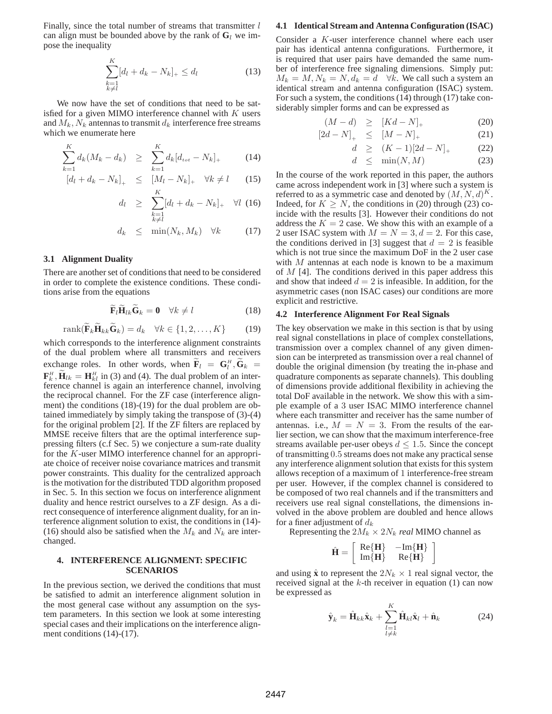Finally, since the total number of streams that transmitter  $l$ can align must be bounded above by the rank of  $G_l$  we impose the inequality

$$
\sum_{\substack{k=1\\k\neq l}}^{K} [d_l + d_k - N_k]_+ \leq d_l \tag{13}
$$

We now have the set of conditions that need to be satisfied for a given MIMO interference channel with  $K$  users and  $M_k$ ,  $N_k$  antennas to transmit  $d_k$  interference free streams which we enumerate here

$$
\sum_{k=1}^{K} d_k (M_k - d_k) \ge \sum_{k=1}^{K} d_k [d_{tot} - N_k]_+ \tag{14}
$$

$$
\begin{aligned} \left[d_l + d_k - N_k\right]_+ &\leq \left[M_l - N_k\right]_+ & \forall k \neq l \qquad (15) \\ & K \end{aligned}
$$

$$
d_l \geq \sum_{\substack{k=1\\k\neq l}}^{\infty} [d_l + d_k - N_k]_+ \quad \forall l \tag{16}
$$

$$
d_k \leq \min(N_k, M_k) \quad \forall k \tag{17}
$$

## **3.1 Alignment Duality**

There are another set of conditions that need to be considered in order to complete the existence conditions. These conditions arise from the equations

$$
\mathbf{F}_{l}\mathbf{H}_{lk}\mathbf{G}_{k}=\mathbf{0}\quad\forall k\neq l\tag{18}
$$

$$
rank(\widetilde{\mathbf{F}}_k \widetilde{\mathbf{H}}_{kk} \widetilde{\mathbf{G}}_k) = d_k \quad \forall k \in \{1, 2, \dots, K\} \tag{19}
$$

which corresponds to the interference alignment constraints of the dual problem where all transmitters and receivers exchange roles. In other words, when  $\tilde{\mathbf{F}}_l = \mathbf{G}_l^H$ ,  $\tilde{\mathbf{G}}_k =$  $\mathbf{F}_k^H$ ,  $\widetilde{\mathbf{H}}_{lk} = \mathbf{H}_{kl}^H$  in (3) and (4). The dual problem of an interference channel is again an interference channel, involving the reciprocal channel. For the ZF case (interference alignment) the conditions (18)-(19) for the dual problem are obtained immediately by simply taking the transpose of (3)-(4) for the original problem [2]. If the ZF filters are replaced by MMSE receive filters that are the optimal interference suppressing filters (c.f Sec. 5) we conjecture a sum-rate duality for the K-user MIMO interference channel for an appropriate choice of receiver noise covariance matrices and transmit power constraints. This duality for the centralized approach is the motivation for the distributed TDD algorithm proposed in Sec. 5. In this section we focus on interference alignment duality and hence restrict ourselves to a ZF design. As a direct consequence of interference alignment duality, for an interference alignment solution to exist, the conditions in (14)- (16) should also be satisfied when the  $M_k$  and  $N_k$  are interchanged.

# **4. INTERFERENCE ALIGNMENT: SPECIFIC SCENARIOS**

In the previous section, we derived the conditions that must be satisfied to admit an interference alignment solution in the most general case without any assumption on the system parameters. In this section we look at some interesting special cases and their implications on the interference alignment conditions (14)-(17).

#### **4.1 Identical Stream and Antenna Configuration (ISAC)**

Consider a K-user interference channel where each user pair has identical antenna configurations. Furthermore, it is required that user pairs have demanded the same number of interference free signaling dimensions. Simply put:  $M_k = M, N_k = N, d_k = d \quad \forall k$ . We call such a system an identical stream and antenna configuration (ISAC) system. For such a system, the conditions (14) through (17) take considerably simpler forms and can be expressed as

$$
(M-d) \geq [Kd-N]_{+} \tag{20}
$$

$$
[2d - N]_{+} \leq [M - N]_{+} \tag{21}
$$

$$
d \ge (K-1)[2d-N]_{+} \tag{22}
$$

$$
d \leq \min(N, M) \tag{23}
$$

In the course of the work reported in this paper, the authors came across independent work in [3] where such a system is referred to as a symmetric case and denoted by  $(M, N, d)^K$ . Indeed, for  $K \geq N$ , the conditions in (20) through (23) coincide with the results [3]. However their conditions do not address the  $K = 2$  case. We show this with an example of a 2 user ISAC system with  $M = N = 3, d = 2$ . For this case, the conditions derived in [3] suggest that  $d = 2$  is feasible which is not true since the maximum DoF in the 2 user case with  $M$  antennas at each node is known to be a maximum of  $M$  [4]. The conditions derived in this paper address this and show that indeed  $d = 2$  is infeasible. In addition, for the asymmetric cases (non ISAC cases) our conditions are more explicit and restrictive.

## **4.2 Interference Alignment For Real Signals**

The key observation we make in this section is that by using real signal constellations in place of complex constellations, transmission over a complex channel of any given dimension can be interpreted as transmission over a real channel of double the original dimension (by treating the in-phase and quadrature components as separate channels). This doubling of dimensions provide additional flexibility in achieving the total DoF available in the network. We show this with a simple example of a 3 user ISAC MIMO interference channel where each transmitter and receiver has the same number of antennas. i.e.,  $M = N = 3$ . From the results of the earlier section, we can show that the maximum interference-free streams available per-user obeys  $d \leq 1.5$ . Since the concept of transmitting 0.5 streams does not make any practical sense any interference alignment solution that exists for this system allows reception of a maximum of 1 interference-free stream per user. However, if the complex channel is considered to be composed of two real channels and if the transmitters and receivers use real signal constellations, the dimensions involved in the above problem are doubled and hence allows for a finer adjustment of  $d_k$ 

Representing the  $2M_k \times 2N_k$  *real* MIMO channel as

$$
\hat{\mathbf{H}} = \left[ \begin{array}{cc} \text{Re}\{\mathbf{H}\} & -\text{Im}\{\mathbf{H}\} \\ \text{Im}\{\mathbf{H}\} & \text{Re}\{\mathbf{H}\} \end{array} \right]
$$

and using  $\hat{\mathbf{x}}$  to represent the  $2N_k \times 1$  real signal vector, the received signal at the  $k$ -th receiver in equation (1) can now be expressed as

$$
\hat{\mathbf{y}}_k = \hat{\mathbf{H}}_{kk}\hat{\mathbf{x}}_k + \sum_{\substack{l=1\\l \neq k}}^K \hat{\mathbf{H}}_{kl}\hat{\mathbf{x}}_l + \hat{\mathbf{n}}_k
$$
 (24)

1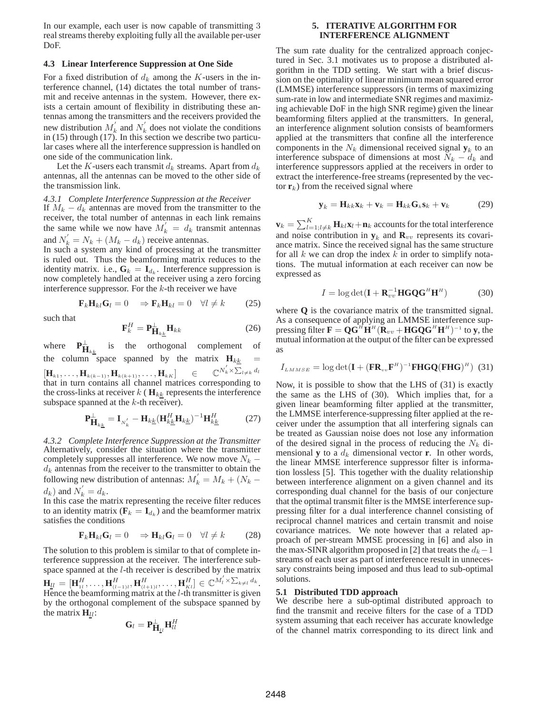In our example, each user is now capable of transmitting 3 real streams thereby exploiting fully all the available per-user DoF.

## **4.3 Linear Interference Suppression at One Side**

For a fixed distribution of  $d_k$  among the K-users in the interference channel, (14) dictates the total number of transmit and receive antennas in the system. However, there exists a certain amount of flexibility in distributing these antennas among the transmitters and the receivers provided the new distribution  $M'_{k}$  and  $N'_{k}$  does not violate the conditions in (15) through (17). In this section we describe two particular cases where all the interference suppression is handled on one side of the communication link.

Let the K-users each transmit  $d_k$  streams. Apart from  $d_k$ antennas, all the antennas can be moved to the other side of the transmission link.

#### *4.3.1 Complete Interference Suppression at the Receiver*

If  $M_k - d_k$  antennas are moved from the transmitter to the receiver, the total number of antennas in each link remains the same while we now have  $M'_{k} = d_{k}$  transmit antennas and  $N_k' = N_k + (M_k - d_k)$  receive antennas.

In such a system any kind of processing at the transmitter is ruled out. Thus the beamforming matrix reduces to the identity matrix. i.e.,  $G_k = I_{d_k}$ . Interference suppression is now completely handled at the receiver using a zero forcing interference suppressor. For the  $k$ -th receiver we have

$$
\mathbf{F}_k \mathbf{H}_{kl} \mathbf{G}_l = 0 \Rightarrow \mathbf{F}_k \mathbf{H}_{kl} = 0 \quad \forall l \neq k \tag{25}
$$

such that

$$
\mathbf{F}_k^H = \mathbf{P}_{\mathbf{H}_{k\underline{k}}}^{\perp} \mathbf{H}_{kk} \tag{26}
$$

where  $\frac{1}{\mathbf{H}_{k,k}}$  is the orthogonal complement of the column space spanned by the matrix  $H_{kk}$  $\left[{\mathbf{H}}_{k1},\ldots,{\mathbf{H}}_{k(k-1)},{\mathbf{H}}_{k(k+1)},\ldots,{\mathbf{H}}_{kK}\right] \quad \in$  $N_k' \times \sum_{l \neq k} d_l$ that in turn contains all channel matrices corresponding to the cross-links at receiver  $k$  ( $\mathbf{H}_{kk}$  represents the interference subspace spanned at the  $k$ -th receiver).

$$
\mathbf{P}_{\mathbf{H}_{k\underline{k}}}^{\perp} = \mathbf{I}_{N'_{k}} - \mathbf{H}_{k\underline{k}} (\mathbf{H}_{k\underline{k}}^{H} \mathbf{H}_{k\underline{k}})^{-1} \mathbf{H}_{k\underline{k}}^{H} \tag{27}
$$

*4.3.2 Complete Interference Suppression at the Transmitter* Alternatively, consider the situation where the transmitter completely suppresses all interference. We now move  $N_k$  –  $d_k$  antennas from the receiver to the transmitter to obtain the following new distribution of antennas:  $M'_{k} = M_{k} + (N_{k}$  $d_k$ ) and  $N_k^{'} = d_k$ .

In this case the matrix representing the receive filter reduces to an identity matrix  $(\mathbf{F}_k = \mathbf{I}_{d_k})$  and the beamformer matrix satisfies the conditions

$$
\mathbf{F}_{k}\mathbf{H}_{kl}\mathbf{G}_{l}=0 \Rightarrow \mathbf{H}_{kl}\mathbf{G}_{l}=0 \quad \forall l \neq k \tag{28}
$$

The solution to this problem is similar to that of complete interference suppression at the receiver. The interference subspace spanned at the l-th receiver is described by the matrix  $\mathbf{H}_{ll} = [\mathbf{H}_{1l}^H, \ldots, \mathbf{H}_{(l-1)l}^H, \mathbf{H}_{(l+1)l}^H, \ldots, \mathbf{H}_{Kl}^H] \in \mathbb{C}^{M_l^{'} \times \sum_{k \neq l} d_k}.$ Hence the beamforming matrix at the  $l$ -th transmitter is given by the orthogonal complement of the subspace spanned by the matrix  $H_{ll}$ :

$$
\mathbf{G}_l = \mathbf{P}_{\mathbf{H}_{ll}}^\perp \mathbf{H}_{ll}^H
$$

## **5. ITERATIVE ALGORITHM FOR INTERFERENCE ALIGNMENT**

The sum rate duality for the centralized approach conjectured in Sec. 3.1 motivates us to propose a distributed algorithm in the TDD setting. We start with a brief discussion on the optimality of linear minimum mean squared error (LMMSE) interference suppressors (in terms of maximizing sum-rate in low and intermediate SNR regimes and maximizing achievable DoF in the high SNR regime) given the linear beamforming filters applied at the transmitters. In general, an interference alignment solution consists of beamformers applied at the transmitters that confine all the interference components in the  $N_k$  dimensional received signal  $y_k$  to an interference subspace of dimensions at most  $N_k - d_k$  and interference suppressors applied at the receivers in order to extract the interference-free streams (represented by the vector  $\mathbf{r}_k$ ) from the received signal where

$$
\mathbf{y}_k = \mathbf{H}_{kk}\mathbf{x}_k + \mathbf{v}_k = \mathbf{H}_{kk}\mathbf{G}_k\mathbf{s}_k + \mathbf{v}_k \tag{29}
$$

 $\mathbf{v}_k = \sum_{l=1; l \neq k}^K \mathbf{H}_{kl} \mathbf{x}_l + \mathbf{n}_k$  accounts for the total interference and noise contribution in  $y_k$  and  $\mathbf{R}_{vv}$  represents its covariance matrix. Since the received signal has the same structure for all k we can drop the index  $k$  in order to simplify notations. The mutual information at each receiver can now be expressed as

$$
I = \log \det(\mathbf{I} + \mathbf{R}_{vv}^{-1} \mathbf{H} \mathbf{G} \mathbf{Q} \mathbf{G}^H \mathbf{H}^H)
$$
(30)

where **Q** is the covariance matrix of the transmitted signal. As a consequence of applying an LMMSE interference suppressing filter  $\mathbf{F} = \mathbf{Q} \mathbf{G}^H \mathbf{H}^H (\mathbf{R}_{vv} + \mathbf{H} \mathbf{G} \mathbf{Q} \mathbf{G}^H \mathbf{H}^H)^{-1}$  to y, the mutual information at the output of the filter can be expressed as

$$
I_{LMMSE} = \log \det(\mathbf{I} + (\mathbf{FR}_{vv}\mathbf{F}^H)^{-1}\mathbf{F}\mathbf{H}\mathbf{G}\mathbf{Q}(\mathbf{F}\mathbf{H}\mathbf{G})^H) (31)
$$

Now, it is possible to show that the LHS of (31) is exactly the same as the LHS of (30). Which implies that, for a given linear beamforming filter applied at the transmitter, the LMMSE interference-suppressing filter applied at the receiver under the assumption that all interfering signals can be treated as Gaussian noise does not lose any information of the desired signal in the process of reducing the  $N_k$  dimensional **y** to a  $d_k$  dimensional vector **r**. In other words, the linear MMSE interference suppressor filter is information lossless [5]. This together with the duality relationship between interference alignment on a given channel and its corresponding dual channel for the basis of our conjecture that the optimal transmit filter is the MMSE interference suppressing filter for a dual interference channel consisting of reciprocal channel matrices and certain transmit and noise covariance matrices. We note however that a related approach of per-stream MMSE processing in [6] and also in the max-SINR algorithm proposed in [2] that treats the  $d_k-1$ streams of each user as part of interference result in unnecessary constraints being imposed and thus lead to sub-optimal solutions.

#### **5.1 Distributed TDD approach**

We describe here a sub-optimal distributed approach to find the transmit and receive filters for the case of a TDD system assuming that each receiver has accurate knowledge of the channel matrix corresponding to its direct link and